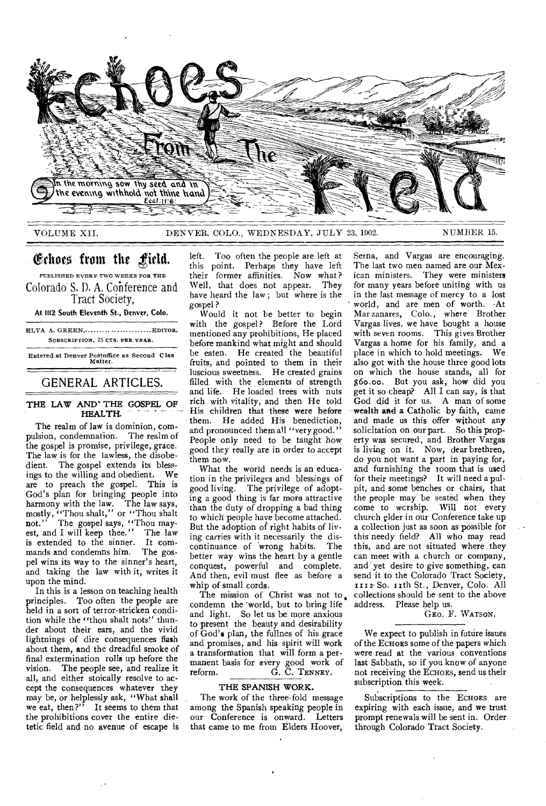

Echoes from the field.

PUBLISHED EVERY. TWO WEEKS FOR THE Colorado S. D. A. Cohference and Tract Society,

At 1112 South Eleventh St., Denver, Colo.

ELVA A. GREEN, ............................... EDITOR. SUBSCRIPTION, 25 CTS. PER YEAR.

Entered at Denver Postoffice as Second C las Matter.

# GENERAL ARTICLES.

# THE LAW AND' THE GOSPEL OF HEALTH.

The realm of law is dominion, compulsion, condemnation. The realm of the gospel is promise, privilege, grace. The law is for the lawless, the disobedient. The gospel extends its blessings to the willing and obedient. We are to preach the gospel. This is God's plan for bringing people into harmony with the law. The law says, mostly, "Thou shalt," or "Thou shalt not." The gospel says, "Thou mayest, and I will keep thee." The law is extended to the sinner. It commands and condemns him. The gospel wins its way to the sinner's heart, and taking the law with it, writes it upon the mind.

In this is a lesson on teaching health principles. Too often the people are held in a sort of terror-stricken condition while the "thou shalt nots" thunder about their ears, and the vivid lightnings of dire consequences flash about them, and the dreadful smoke of final extermination rolls up before the vision. The people see, and realize it The people see, and realize it all, and either stoically resolve to accept the consequences whatever they may be, or helplessly ask, "What shall we eat, then?" It seems to them that the prohibitions cover the entire dietetic field and no avenue of escape is

left. Too often the people are left at this point. Perhaps they have left their former affinities. Now what ? Well, that does not appear. They have heard the law; but where is the gospel?

Would it not be better to begin with the gospel? Before the Lord mentioned any prohibitions, He placed before mankind what might and should be eaten. He created the beautiful fruits, and pointed to them in their luscious sweetness. He created grains filled with the elements of strength and life. He loaded trees with nuts rich with vitality, and then He told His children that these were before them. He added His benediction, and pronounced them all "very good." People only need to be taught how good they really are in order to accept them now.

What the world needs is an education in the privileges and blessings of good living. The privilege of adopting a good thing is far more attractive than the duty of dropping a bad thing to which people have become attached. But the adoption of right habits of living carries with it necessarily the discontinuance of 'wrong habits. The better way wins the heart by a gentle conquest, powerful and complete. And then, evil must flee as before a whip of small cords.

The mission of Christ was not to. condemn the 'world, but to bring life and light. So let us be more anxious to present the beauty and desirability of God's plan, the fullnes of his grace and promises, and his spirit will work a transformation that will form a permanent basis for every good work of reform. G. C. TENNEY.

#### THE SPANISH WORK.

The work of the three-fold message among the Spanish speaking people in our Conference is onward. Letters that came to me from Elders Hoover, Serna, and Vargas are encouraging. The last two men named are our Mexican ministers. They were ministers for many years before uniting with us in the last message of mercy to a lost • world, and are men of worth. •At Mar zanares, Colo., where Brother Vargas lives, we have bought a house with seven rooms. This gives Brother Vargas a home for his family, and a place in which to hold meetings. We also got with the house three good lots on which the house stands, all for \$6o.00. But you ask, how did you get it so cheap? All I can say, is that God did it for us. A man of some wealth and a Catholic by faith, came and made us this offer without any solicitation on our part. So this property was secured, and Brother Vargas is living on it. Now, dear brethren, do you not want a part in paying for, and furnishing the room that is used for their meetings? It will need a pulpit, and some benches or chairs, that the people may be seated when they come to wcrship. Will not every church elder in our Conference take up a collection just as soon as possible for this needy field? All who may read this, and are not situated where they can meet with a church or company, and' yet desire to give something, can send it to the Colorado Tract Society, 1112. So. r ith St., Denver, Colo. All collections should be sent to the above address. Please help us.

GEO, F. WATSON.

We expect to publish in future issues of the ECHOES some of the papers which were read at the various conventions last Sabbath, so if you know of anyone not receiving the ECHOES, send us their subscription this week.

Subscriptions to the ECHOES are expiring with each issue, and we trust prompt renewals will be sent in. Order through Colorado Tract Society.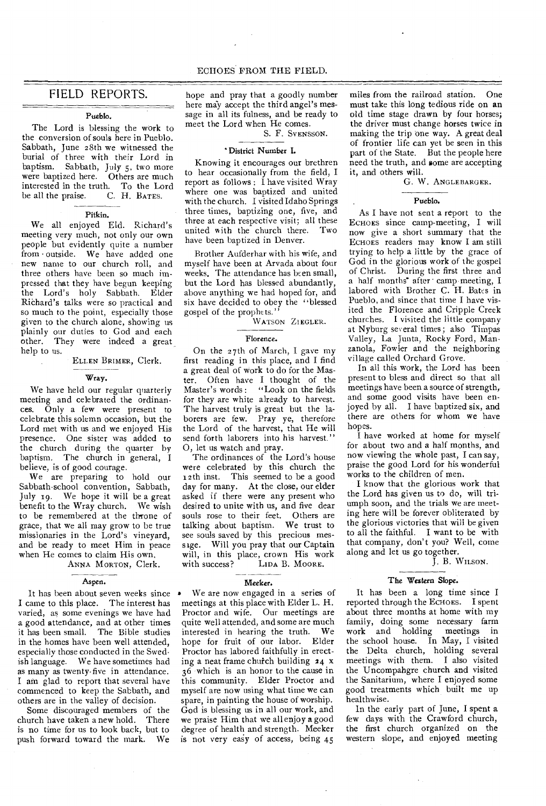# FIELD REPORTS.

#### Pueblo.

The Lord is blessing the work to the conversion of souls here in Pueblo. Sabbath, June 28th we witnessed the burial of three with their Lord in baptism. Sabbath, July 5, two more<br>were baptized here. Others are much were baptized here. interested in the truth. To the Lord<br>be all the praise. C. H. BATES. be all the praise.

#### Pitkin.

We all enjoyed Eld. Richard's meeting very much, not only our own people but evidently quite a number from • outside. We have added one new name to our church roll, and three others have been so much impressed that they have begun keeping the Lord's holy Sabbath. Elder Richard's talks were so practical and so much to the point, especially those given to the church alone, showing us plainly our duties to God and each other. They were indeed a great help to us.

#### ELLEN BRIMER, Clerk.

Wray.

We have held our regular quarterly meeting and celebrated the ordinances. Only a few were present to celebrate this solemn occasion, but the Lord met with us and we enjoyed His presence. One sister was added to the church during the quarter by baptism. The church in general, I believe, is of good courage.

We are preparing to hold our Sabbath-school convention, Sabbath, July 19. We hope it will be a great benefit to the Wray church. We wish to be remembered at the throne of grace, that we all may grow to be true missionaries in the Lord's vineyard, and be ready to meet Him in peace when He comes to claim His own.

ANNA MORTON, Clerk.

#### Aspen.

It has been about seven weeks since I came to this place. The interest has varied, as some evenings we have had a good attendance, and at other times it has been small. The Bible studies in the homes have been well attended, especially those conducted in the Swedish language. We have sometimes had as many as twenty-five in attendance. I am glad to report that several have commenced to keep the Sabbath, and others are in the valley of decision.

Some discouraged members of the<br>urch have taken a new hold. There church have taken a new hold. is no time for us to look back, but to<br>nush forward toward the mark. We push forward toward the mark.

hope and pray that a goodly number here may accept the third angel's message in all its fulness, and be ready to meet the Lord when He comes.

S. F. SVENSSON.

#### District Number I.

Knowing it encourages our brethren to hear occasionally from the field, I report as follows : I have visited Wray where one was baptized and united with the church. I visited Idaho Springs three times, baptizing one, five, and three at each respective visit; all these united with the church there. Two have been baptized in Denver.

Brother Aufderhar with his wife, and myself have been at Arvada about four weeks. The attendance has been small, but the Lord has blessed abundantly, above anything we had hoped for, and six have decided to obey the ''blessed gospel of the prophets."

WATSON ZIEGLER.

#### Florence.

On the 27th of March, I gave my first reading in this place, and I find a great deal of work to do for the Master. Often have I thought of the Master's words : "Look on the fields for they are white already to harvest. The harvest truly is great but the laborers are few. Pray ye, therefore the Lord of the harvest, that He will send forth laborers into his harvest." 0, let us watch and pray.

The ordinances of the Lord's house were celebrated by this church the 12th inst. This seemed to be a good day for many. At the close, our elder asked if there were any present who desired to unite with us, and five dear souls rose to their feet. Others are talking about baptism. We trust to see souls saved by this precious message. Will you pray that our Captain will, in this place, crown His work<br>with success? LIDA B. MOORE. LIDA B. MOORE.

#### Meeker.

• We are now engaged in a series of meetings at this place with Elder L. H. Proctor and wife. Our meetings are quite well attended, and some are much interested in hearing the truth. We hope for fruit of our labor. Elder Proctor has labored faithfully in erecting a neat frame chufch building 24 x 36 which is an honor to the cause in this community. Elder Proctor and myself are now using what time we can spare, in painting the house of worship. God is blessing us in all our work, and we praise Him that we all enjoy a good degree of health and strength. Meeker is not very easy of access, being 45

miles from the railroad station. One must take this long tedious ride on an old time stage drawn by four horses; the driver must change horses twice in making the trip one way. A great deal of frontier life can yet be seen in this part of the State. But the people here need the truth, and some are accepting it, and others will.

G. W. ANGLEBARGER.

#### Pueblo.

As I have not sent a report to the ECHOES since camp-meeting, I will now give a short summary that the ECHOES readers may know I am still trying to help a little by the grace of God in the glorious work of the gospel of Christ. During the first three and a half months' after camp meeting, I labored with Brother C. H. Bates in Pueblo, and since that time I have visited the Florence and Cripple Creek churches. I visited the little company at Nyburg several times; also Timpas Valley, La Junta, Rocky Ford, Manzanola, Fowler and the neighboring village called Orchard Grove.

In all this work, the Lord has been present to bless and direct so that all meetings have been a source of strength, and some good visits have been enjoyed by all. I have baptized six, and there are others for whom we have hopes.

I have worked at home for myself for about two and a half months, and now viewing the whole past, I can say, praise the good Lord for his wonderful works to the children of men.

I know that the glorious work that the Lord has given us to do, will triumph soon, and the trials we are meeting here will be forever obliterated by the glorious victories that will be given to all the faithful. I want to be with that company, don't you? Well, come along and let us go together.

#### J. B. WILSON.

#### The Western Slope.

It has been a long time since I reported through the ECHOES. I spent about three months at home with my family, doing some necessary farm work and holding meetings in the school house. In May, I visited the Delta church, holding several meetings with them. I also visited the Uncompahgre church and visited the Sanitarium, where I enjoyed some good treatments which built me up healthwise.

In the early part of June, I spent a few days with the Crawford church, the first church organized on the western slope, and enjoyed meeting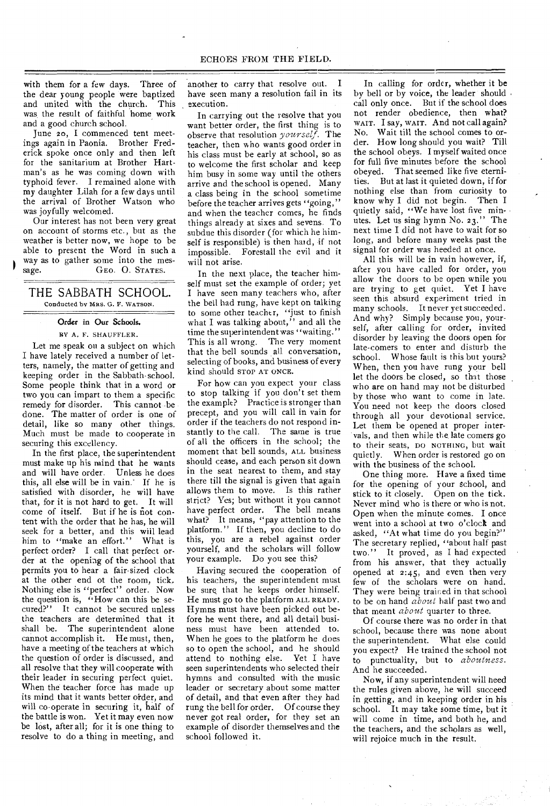with them for a few days. Three of the dear young people were baptized and united with the church. This was the result of faithful home work and a good church school.

June 20, I commenced tent meetings again in Paonia. Brother Frederick spoke once only and then left for the sanitarium at Brother Hartman's as he was coming down with typhoid fever. I remained alone with my daughter Lilah for a few days until the arrival of Brother Watson who was joyfully welcomed.

Our interest has not been very great on account of storms etc., but as the weather is better now, we hope to be able to present the Word in such a way as to gather some into the message. **GEO. O. STATES.** 

### THE SABBATH SCHOOL. Conducted by MRS. G. P. WATSON.

#### Order in Our Schools.

#### RY A. F. SHAUFFLER.

Let me speak on a subject on which I have lately received a number of letters, namely, the matter of getting and keeping order in the Sabbath-school. Some people think that in a word or two you can impart to them a specific remedy for disorder. This cannot -be done. The matter of order is one of detail, like so many other things. Much must be made to cooperate in securing this excellency.

In the first place, the superintendent must make up his mind that he wants and will have order. Unless he does this, all else will be in vain.' If he is satisfied with disorder, he will have that, for it is not hard to get. It will come of itself. But if he is not content with the order that he has, he will seek for a better, and this will lead him to "make an effort." What is perfect order? I call that perfect order at the opening of the school that permits you to hear a fair-sized clock at the other end of the room, tick, Nothing else is "perfect" order. Now the question is, "How can this be secured?" It cannot be secured unless the teachers are determined that it shall be. The superintendent alone cannot accomplish it. He must, then, have a meeting of the teachers at which the question of order is discussed, and all resolve that they will cooperate with their leader in securing perfect quiet. When the teacher force has made up its mind that it wants better order, and will co-operate in securing it, half of the battle is won. Yet it may even now be lost, after all; for it is one thing to resolve to do a thing in meeting, and

another to carry that resolve out. I have seen many a resolution fail in its execution.

In carrying out the resolve that you want better order, the first thing is to observe that resolution *yourself.* The teacher, then who wants good order in his class must be early at school, so as to welcome the first scholar and keep him busy in some way until the others arrive and the school is opened. Many a class being in the school sometime before the teacher arrives gets "going," and when the teacher comes, he finds things already at sixes and sevens. To subdue this disorder (for which he himself is responsible) is then hard, if not impossible. Forestall the evil and it will not arise.

In the next place, the teacher himself must set the example of order; yet I have seen many teachers who, after the bell had rung, have kept on talking to some other teacher, "just to finish what I was talking about," and all the time the superintendent was "waiting." This is all wrong. The very moment that the bell sounds all conversation, selecting of books, and business of every kind should STOP AT ONCE.

For how can you expect your class to stop talking if you don't set them the example? Practice is stronger than precept, and you will call in vain for order if the teachers do not respond instantly to the call. The same is true of all the officers in the school; the moment that bell sounds, ALL business should cease, and each person sit down in the seat nearest to them, and stay there till the signal is given that again allows them to move. Is this rather strict? Yes; but without it you cannot have perfect order. The bell means what? It means, "pay attention to the platform." If then, you decline to do this, you are a rebel against order yourself, and the scholars will follow your example. Do you see this?

Having secured the cooperation of his teachers, the superintendent must be sure, that he keeps order himself. He must go to the platform ALL READY. Hymns must have been picked out before he went there, and all detail business must have been attended to. When he goes to the platform he does so to open the school, and he should attend to nothing else. Yet I have seen superintendents who selected their hymns and consulted with the music leader or secretary about some matter of detail, and that even after they had rung the bell for order. Of course they never got real order, for they set an example of disorder themselves and the school followed it.

In calling for order, whether it be by bell or by voice, the leader should call only once. But if the school does not render obedience, then what? WAIT. I say, WAIT. And not call again? No. Wait till the school comes to order. How long should you wait? Till the school obeys. I myself waited once for full five minutes before the school obeyed. That seemed like five eternities. But at last it quieted down, if for nothing else than from curiosity to know why I did not begin. Then I quietly said, "We have lost five minutes. Let us sing hymn No. 23." The next time I did not have to wait for so long, and before many weeks past the signal for order was heeded at once.

All this will be in vain however, if, after you have called for order, you allow the doors to be open while you are trying to get quiet. Yet I have seen this absurd experiment tried in many schools. It never yet succeeded. And why? Simply because you, yourself, after calling for order, invited disorder by leaving the doors open for late-comers to enter and disturb the school. Whose fault is this but yours? When, then you have rung your bell let the doors be closed, so that those who are on hand may not be disturbed by those who want to come in late. You need not keep the doors closed through all your devotional service. Let them be opened at proper intervals, and then while the late comers go to their seats, DO NOTHING, but wait quietly. When order is restored go on with the business of the school.

One thing more. Have a fixed time for the opening of your school, and stick to it closely. Open on the tick. Never mind who is there or who is not. Open when the minute comes. I once went into a school at two o'clock and asked, "At what time do you begin?" The secretary replied, "about half past two." It proved, as I had expected from his answer, that they actually opened at 2:45, and even then very few of the scholars were on hand. They were being trained in that school to be on hand *about* half past two and that meant *about* quarter to three.

Of course there was no order in that school, because there was none about the superintendent. What else could you expect? He trained the school not to punctuality, but to *aboulness.*  And he succeeded.

Now, if any superintendent will need the rules given above, he will succeed in getting, and in keeping order in his school. It may take some time, but it will come in time, and both he, and the teachers, and the scholars as well, will rejoice much in the result.